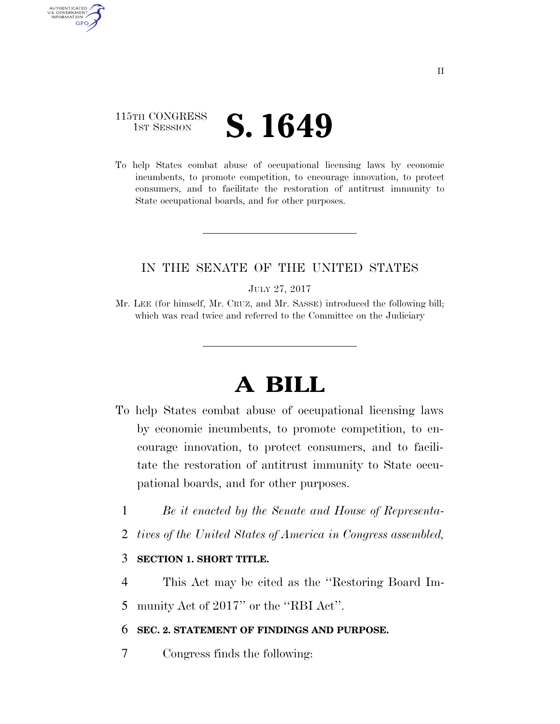# 115TH CONGRESS **IST SESSION S. 1649**

AUTHENTICATED U.S. GOVERNMENT **GPO** 

> To help States combat abuse of occupational licensing laws by economic incumbents, to promote competition, to encourage innovation, to protect consumers, and to facilitate the restoration of antitrust immunity to State occupational boards, and for other purposes.

## IN THE SENATE OF THE UNITED STATES

JULY 27, 2017

Mr. LEE (for himself, Mr. CRUZ, and Mr. SASSE) introduced the following bill; which was read twice and referred to the Committee on the Judiciary

# **A BILL**

- To help States combat abuse of occupational licensing laws by economic incumbents, to promote competition, to encourage innovation, to protect consumers, and to facilitate the restoration of antitrust immunity to State occupational boards, and for other purposes.
	- 1 *Be it enacted by the Senate and House of Representa-*
	- 2 *tives of the United States of America in Congress assembled,*

#### 3 **SECTION 1. SHORT TITLE.**

4 This Act may be cited as the ''Restoring Board Im-

5 munity Act of 2017" or the "RBI Act".

#### 6 **SEC. 2. STATEMENT OF FINDINGS AND PURPOSE.**

7 Congress finds the following: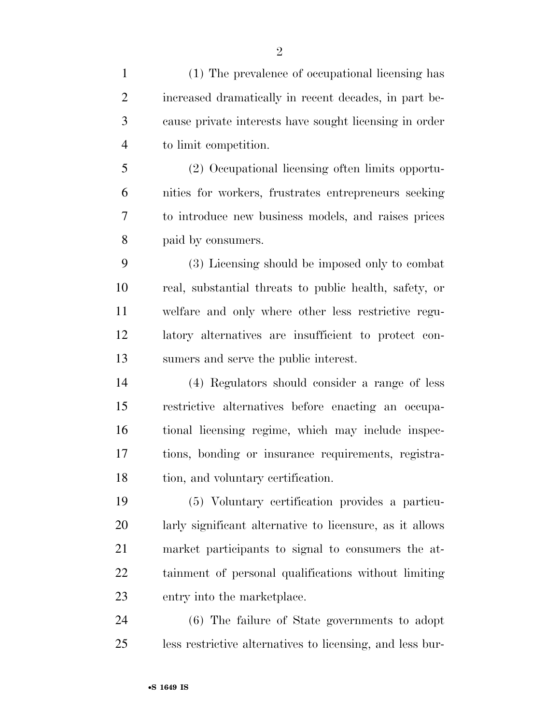(1) The prevalence of occupational licensing has increased dramatically in recent decades, in part be- cause private interests have sought licensing in order to limit competition. (2) Occupational licensing often limits opportu- nities for workers, frustrates entrepreneurs seeking to introduce new business models, and raises prices paid by consumers. (3) Licensing should be imposed only to combat real, substantial threats to public health, safety, or welfare and only where other less restrictive regu- latory alternatives are insufficient to protect con- sumers and serve the public interest. (4) Regulators should consider a range of less restrictive alternatives before enacting an occupa- tional licensing regime, which may include inspec- tions, bonding or insurance requirements, registra- tion, and voluntary certification. (5) Voluntary certification provides a particu- larly significant alternative to licensure, as it allows market participants to signal to consumers the at- tainment of personal qualifications without limiting entry into the marketplace. (6) The failure of State governments to adopt

less restrictive alternatives to licensing, and less bur-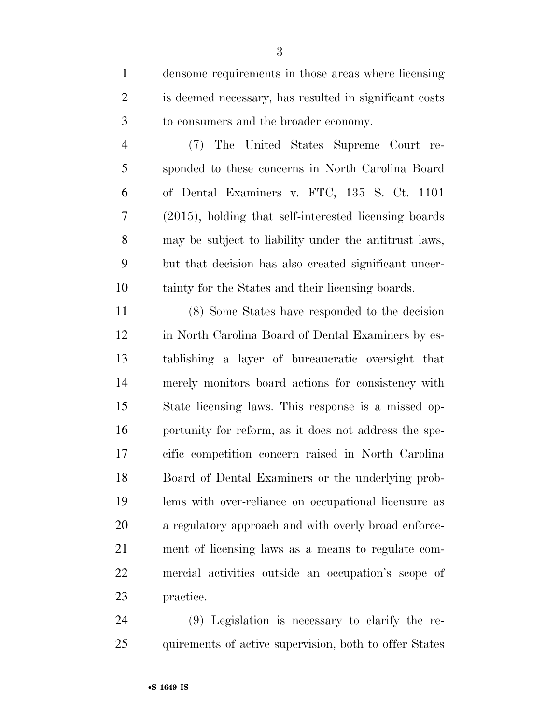densome requirements in those areas where licensing is deemed necessary, has resulted in significant costs to consumers and the broader economy.

 (7) The United States Supreme Court re- sponded to these concerns in North Carolina Board of Dental Examiners v. FTC, 135 S. Ct. 1101 (2015), holding that self-interested licensing boards may be subject to liability under the antitrust laws, but that decision has also created significant uncer-tainty for the States and their licensing boards.

 (8) Some States have responded to the decision in North Carolina Board of Dental Examiners by es- tablishing a layer of bureaucratic oversight that merely monitors board actions for consistency with State licensing laws. This response is a missed op- portunity for reform, as it does not address the spe- cific competition concern raised in North Carolina Board of Dental Examiners or the underlying prob- lems with over-reliance on occupational licensure as a regulatory approach and with overly broad enforce- ment of licensing laws as a means to regulate com- mercial activities outside an occupation's scope of practice.

 (9) Legislation is necessary to clarify the re-25 quirements of active supervision, both to offer States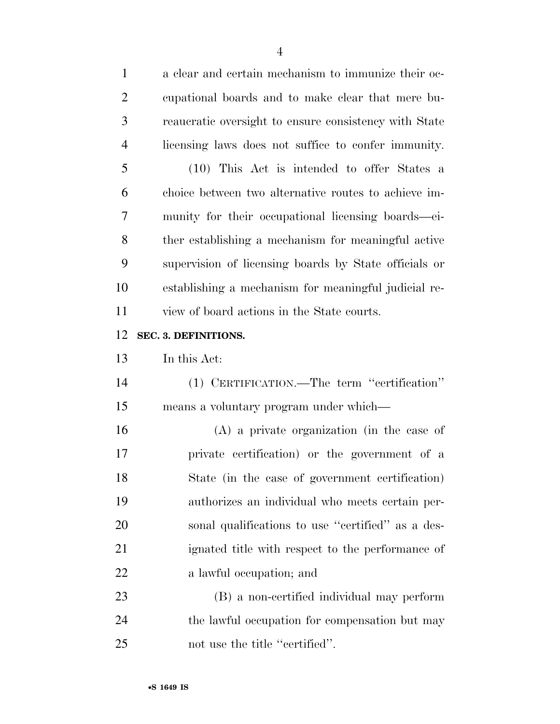| $\mathbf{1}$   | a clear and certain mechanism to immunize their oc-   |
|----------------|-------------------------------------------------------|
| $\overline{2}$ | equational boards and to make clear that mere bu-     |
| 3              | reaucratic oversight to ensure consistency with State |
| $\overline{4}$ | licensing laws does not suffice to confer immunity.   |
| 5              | (10) This Act is intended to offer States a           |
| 6              | choice between two alternative routes to achieve im-  |
| 7              | munity for their occupational licensing boards—ei-    |
| 8              | ther establishing a mechanism for meaningful active   |
| 9              | supervision of licensing boards by State officials or |
| 10             | establishing a mechanism for meaningful judicial re-  |
| 11             | view of board actions in the State courts.            |
| 12             | SEC. 3. DEFINITIONS.                                  |
| 13             | In this Act:                                          |
| 14             | (1) CERTIFICATION.—The term "certification"           |
| 15             |                                                       |
|                | means a voluntary program under which—                |
| 16             | $(A)$ a private organization (in the case of          |
| 17             | private certification) or the government of a         |
| 18             | State (in the case of government certification)       |
| 19             | authorizes an individual who meets certain per-       |
| 20             | sonal qualifications to use "certified" as a des-     |
| 21             | ignated title with respect to the performance of      |
| 22             | a lawful occupation; and                              |
| 23             | (B) a non-certified individual may perform            |
| 24             | the lawful occupation for compensation but may        |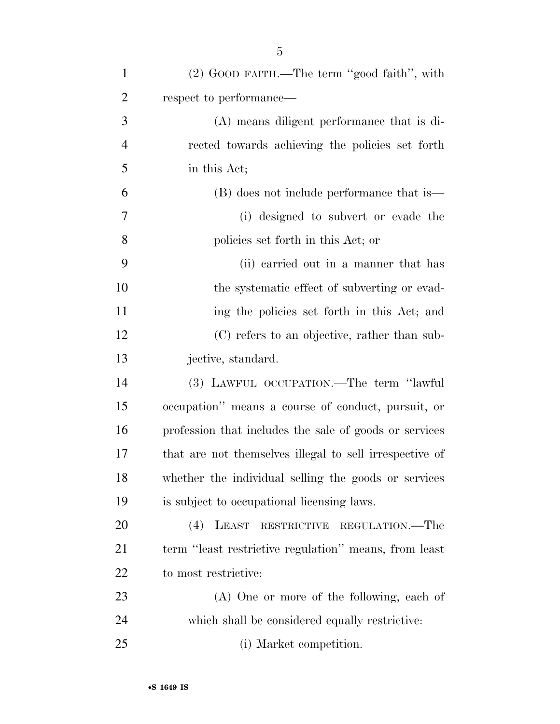| $\mathbf{1}$   | (2) GOOD FAITH.—The term "good faith", with             |
|----------------|---------------------------------------------------------|
| $\overline{2}$ | respect to performance—                                 |
| 3              | (A) means diligent performance that is di-              |
| $\overline{4}$ | rected towards achieving the policies set forth         |
| 5              | in this Act;                                            |
| 6              | (B) does not include performance that is—               |
| $\tau$         | (i) designed to subvert or evade the                    |
| 8              | policies set forth in this Act; or                      |
| 9              | (ii) carried out in a manner that has                   |
| 10             | the systematic effect of subverting or evad-            |
| 11             | ing the policies set forth in this Act; and             |
| 12             | (C) refers to an objective, rather than sub-            |
| 13             | jective, standard.                                      |
| 14             | (3) LAWFUL OCCUPATION.—The term "lawful                 |
| 15             | occupation" means a course of conduct, pursuit, or      |
| 16             | profession that includes the sale of goods or services  |
| 17             | that are not themselves illegal to sell irrespective of |
| 18             | whether the individual selling the goods or services    |
| 19             | is subject to occupational licensing laws.              |
| 20             | LEAST<br>(4)<br>REGULATION.—The<br>RESTRICTIVE          |
| 21             | term "least restrictive regulation" means, from least   |
| 22             | to most restrictive:                                    |
| 23             | (A) One or more of the following, each of               |
| 24             | which shall be considered equally restrictive:          |
| 25             | (i) Market competition.                                 |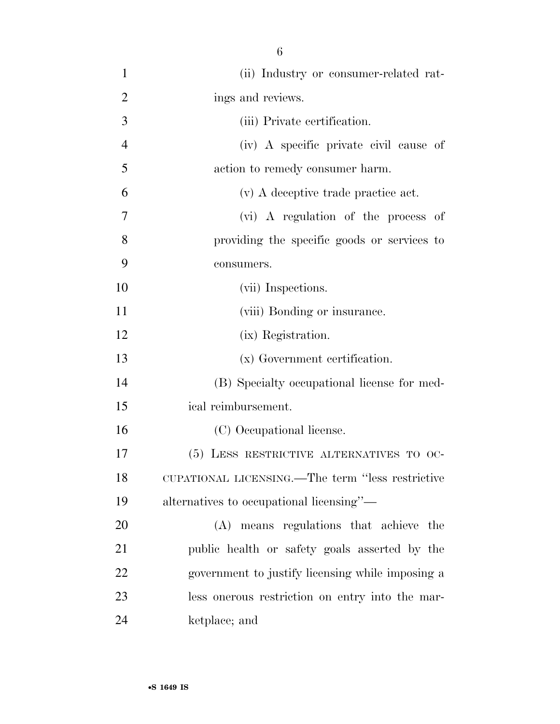(ii) Industry or consumer-related rat-2 ings and reviews. (iii) Private certification. (iv) A specific private civil cause of action to remedy consumer harm. (v) A deceptive trade practice act. (vi) A regulation of the process of providing the specific goods or services to consumers. 10 (vii) Inspections. 11 (viii) Bonding or insurance. (ix) Registration. (x) Government certification. (B) Specialty occupational license for med- ical reimbursement. (C) Occupational license. (5) LESS RESTRICTIVE ALTERNATIVES TO OC- CUPATIONAL LICENSING.—The term ''less restrictive alternatives to occupational licensing''— (A) means regulations that achieve the public health or safety goals asserted by the government to justify licensing while imposing a less onerous restriction on entry into the mar-ketplace; and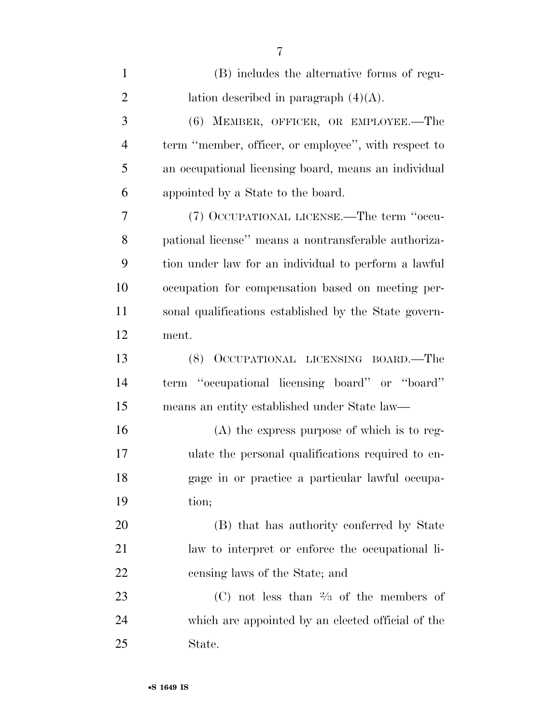| $\mathbf{1}$   | (B) includes the alternative forms of regu-           |
|----------------|-------------------------------------------------------|
| $\overline{2}$ | lation described in paragraph $(4)(A)$ .              |
| 3              | (6) MEMBER, OFFICER, OR EMPLOYEE.-The                 |
| $\overline{4}$ | term "member, officer, or employee", with respect to  |
| 5              | an occupational licensing board, means an individual  |
| 6              | appointed by a State to the board.                    |
| 7              | (7) OCCUPATIONAL LICENSE.—The term "occu-             |
| 8              | pational license" means a nontransferable authoriza-  |
| 9              | tion under law for an individual to perform a lawful  |
| 10             | occupation for compensation based on meeting per-     |
| 11             | sonal qualifications established by the State govern- |
| 12             | ment.                                                 |
| 13             | OCCUPATIONAL LICENSING BOARD.—The<br>(8)              |
| 14             | term "occupational licensing board" or "board"        |
| 15             | means an entity established under State law—          |
| 16             | $(A)$ the express purpose of which is to reg-         |
| 17             | ulate the personal qualifications required to en-     |
| 18             | gage in or practice a particular lawful occupa-       |
| 19             | tion;                                                 |
| 20             | (B) that has authority conferred by State             |
| 21             | law to interpret or enforce the occupational li-      |
| 22             | censing laws of the State; and                        |
| 23             | (C) not less than $\frac{2}{3}$ of the members of     |
| 24             | which are appointed by an elected official of the     |
| 25             | State.                                                |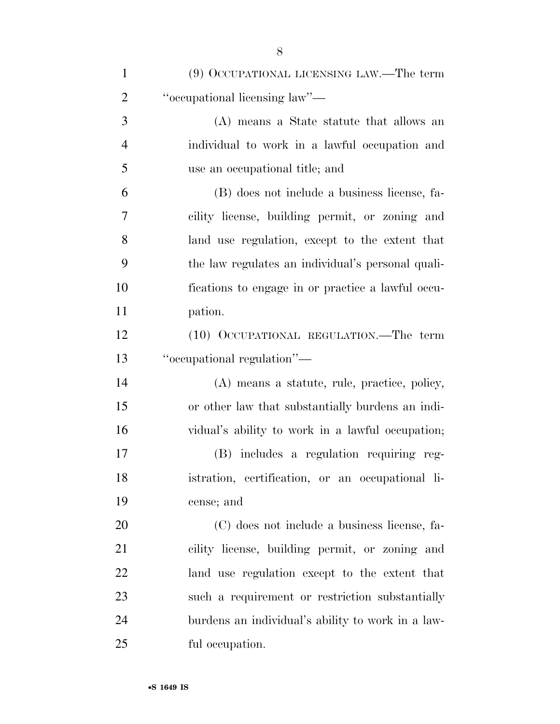| $\mathbf{1}$   | (9) OCCUPATIONAL LICENSING LAW.—The term          |
|----------------|---------------------------------------------------|
| $\overline{2}$ | "occupational licensing law"—                     |
| 3              | (A) means a State statute that allows an          |
| $\overline{4}$ | individual to work in a lawful occupation and     |
| 5              | use an occupational title; and                    |
| 6              | (B) does not include a business license, fa-      |
| $\overline{7}$ | cility license, building permit, or zoning and    |
| 8              | land use regulation, except to the extent that    |
| 9              | the law regulates an individual's personal quali- |
| 10             | fications to engage in or practice a lawful occu- |
| 11             | pation.                                           |
| 12             | (10) OCCUPATIONAL REGULATION.—The term            |
| 13             | "occupational regulation"-                        |
| 14             | (A) means a statute, rule, practice, policy,      |
| 15             | or other law that substantially burdens an indi-  |
| 16             | vidual's ability to work in a lawful occupation;  |
| 17             | (B) includes a regulation requiring reg-          |
| 18             | istration, certification, or an occupational li-  |
| 19             | cense; and                                        |
| 20             | (C) does not include a business license, fa-      |
| 21             | cility license, building permit, or zoning and    |
| 22             | land use regulation except to the extent that     |
| 23             | such a requirement or restriction substantially   |
| 24             | burdens an individual's ability to work in a law- |
| 25             | ful occupation.                                   |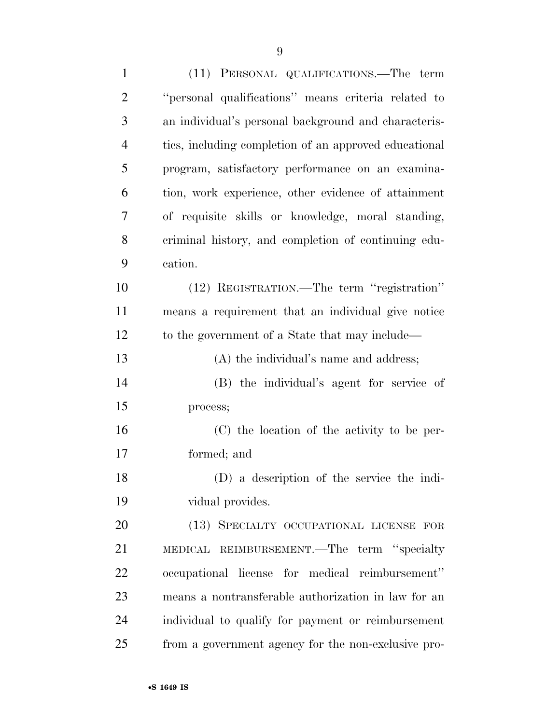| $\mathbf{1}$   | (11) PERSONAL QUALIFICATIONS.—The term                |
|----------------|-------------------------------------------------------|
| $\overline{2}$ | "personal qualifications" means criteria related to   |
| 3              | an individual's personal background and characteris-  |
| $\overline{4}$ | tics, including completion of an approved educational |
| 5              | program, satisfactory performance on an examina-      |
| 6              | tion, work experience, other evidence of attainment   |
| 7              | of requisite skills or knowledge, moral standing,     |
| 8              | criminal history, and completion of continuing edu-   |
| 9              | cation.                                               |
| 10             | (12) REGISTRATION.—The term "registration"            |
| 11             | means a requirement that an individual give notice    |
| 12             | to the government of a State that may include—        |
| 13             | (A) the individual's name and address;                |
| 14             | (B) the individual's agent for service of             |
| 15             | process;                                              |
| 16             | (C) the location of the activity to be per-           |
| 17             | formed; and                                           |
| 18             | (D) a description of the service the indi-            |
| 19             | vidual provides.                                      |
| 20             | (13) SPECIALTY OCCUPATIONAL LICENSE FOR               |
| 21             | MEDICAL REIMBURSEMENT.—The term "specialty            |
| 22             | occupational license for medical reimbursement"       |
| 23             | means a nontransferable authorization in law for an   |
| 24             | individual to qualify for payment or reimbursement    |
| 25             | from a government agency for the non-exclusive pro-   |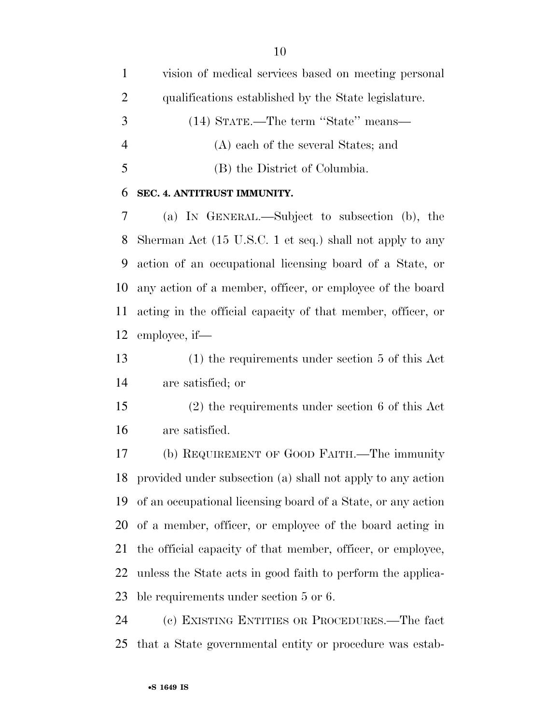vision of medical services based on meeting personal qualifications established by the State legislature. (14) STATE.—The term ''State'' means— (A) each of the several States; and (B) the District of Columbia.

#### **SEC. 4. ANTITRUST IMMUNITY.**

 (a) IN GENERAL.—Subject to subsection (b), the Sherman Act (15 U.S.C. 1 et seq.) shall not apply to any action of an occupational licensing board of a State, or any action of a member, officer, or employee of the board acting in the official capacity of that member, officer, or employee, if—

 (1) the requirements under section 5 of this Act are satisfied; or

 (2) the requirements under section 6 of this Act are satisfied.

 (b) REQUIREMENT OF GOOD FAITH.—The immunity provided under subsection (a) shall not apply to any action of an occupational licensing board of a State, or any action of a member, officer, or employee of the board acting in the official capacity of that member, officer, or employee, unless the State acts in good faith to perform the applica-ble requirements under section 5 or 6.

 (c) EXISTING ENTITIES OR PROCEDURES.—The fact that a State governmental entity or procedure was estab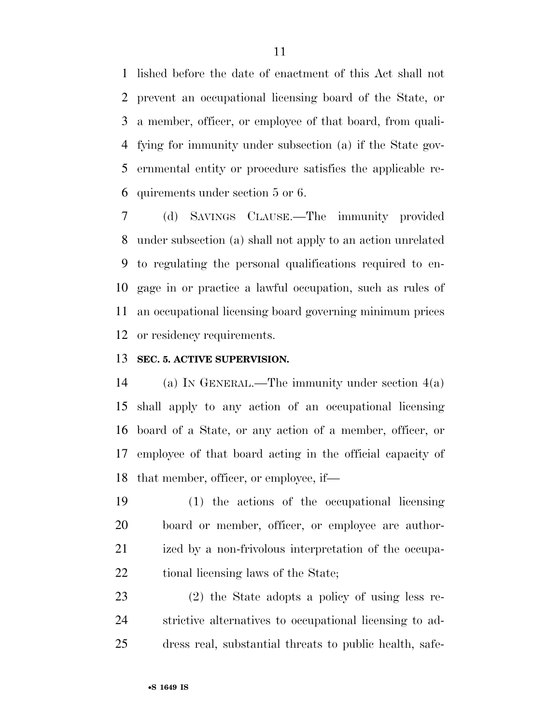lished before the date of enactment of this Act shall not prevent an occupational licensing board of the State, or a member, officer, or employee of that board, from quali- fying for immunity under subsection (a) if the State gov- ernmental entity or procedure satisfies the applicable re-quirements under section 5 or 6.

 (d) SAVINGS CLAUSE.—The immunity provided under subsection (a) shall not apply to an action unrelated to regulating the personal qualifications required to en- gage in or practice a lawful occupation, such as rules of an occupational licensing board governing minimum prices or residency requirements.

### **SEC. 5. ACTIVE SUPERVISION.**

 (a) IN GENERAL.—The immunity under section 4(a) shall apply to any action of an occupational licensing board of a State, or any action of a member, officer, or employee of that board acting in the official capacity of that member, officer, or employee, if—

 (1) the actions of the occupational licensing board or member, officer, or employee are author- ized by a non-frivolous interpretation of the occupa-22 tional licensing laws of the State;

 (2) the State adopts a policy of using less re- strictive alternatives to occupational licensing to ad-dress real, substantial threats to public health, safe-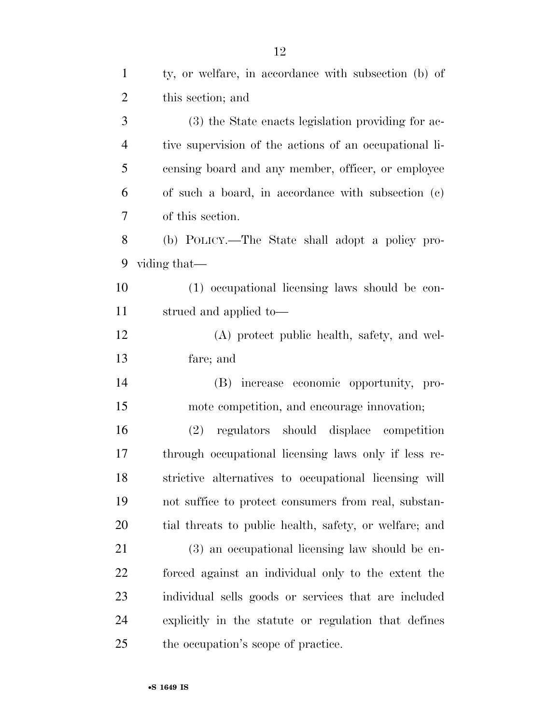| $\mathbf{1}$   | ty, or welfare, in accordance with subsection (b) of   |
|----------------|--------------------------------------------------------|
| $\overline{2}$ | this section; and                                      |
| 3              | (3) the State enacts legislation providing for ac-     |
| $\overline{4}$ | tive supervision of the actions of an occupational li- |
| 5              | censing board and any member, officer, or employee     |
| 6              | of such a board, in accordance with subsection (c)     |
| 7              | of this section.                                       |
| 8              | (b) POLICY.—The State shall adopt a policy pro-        |
| 9              | viding that—                                           |
| 10             | (1) occupational licensing laws should be con-         |
| 11             | strued and applied to-                                 |
| 12             | (A) protect public health, safety, and wel-            |
| 13             | fare; and                                              |
| 14             | (B) increase economic opportunity, pro-                |
| 15             | mote competition, and encourage innovation;            |
| 16             | regulators should displace competition<br>(2)          |
| 17             | through occupational licensing laws only if less re-   |
| 18             | strictive alternatives to occupational licensing will  |
| 19             | not suffice to protect consumers from real, substan-   |
| 20             | tial threats to public health, safety, or welfare; and |
| 21             | (3) an occupational licensing law should be en-        |
| 22             | forced against an individual only to the extent the    |
| 23             | individual sells goods or services that are included   |
| 24             | explicitly in the statute or regulation that defines   |
| 25             | the occupation's scope of practice.                    |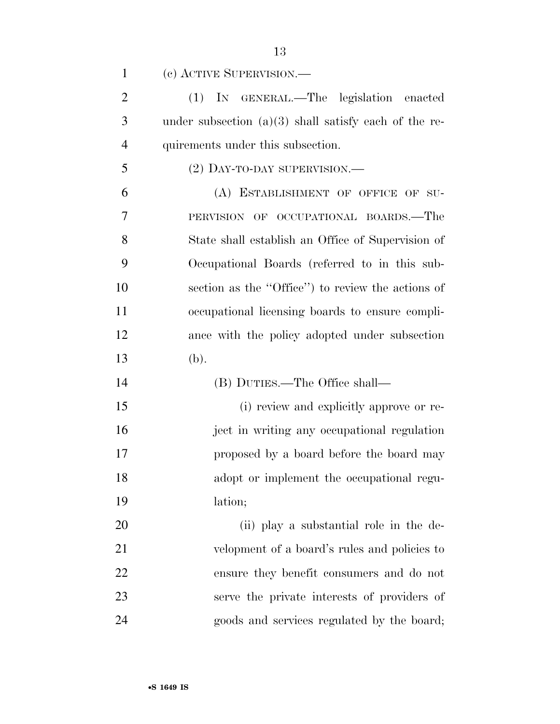(c) ACTIVE SUPERVISION.—

 (1) IN GENERAL.—The legislation enacted under subsection (a)(3) shall satisfy each of the re-quirements under this subsection.

(2) DAY-TO-DAY SUPERVISION.—

 (A) ESTABLISHMENT OF OFFICE OF SU- PERVISION OF OCCUPATIONAL BOARDS.—The State shall establish an Office of Supervision of Occupational Boards (referred to in this sub- section as the ''Office'') to review the actions of occupational licensing boards to ensure compli- ance with the policy adopted under subsection (b).

(B) DUTIES.—The Office shall—

 (i) review and explicitly approve or re- ject in writing any occupational regulation proposed by a board before the board may adopt or implement the occupational regu-lation;

20 (ii) play a substantial role in the de-21 velopment of a board's rules and policies to ensure they benefit consumers and do not serve the private interests of providers of goods and services regulated by the board;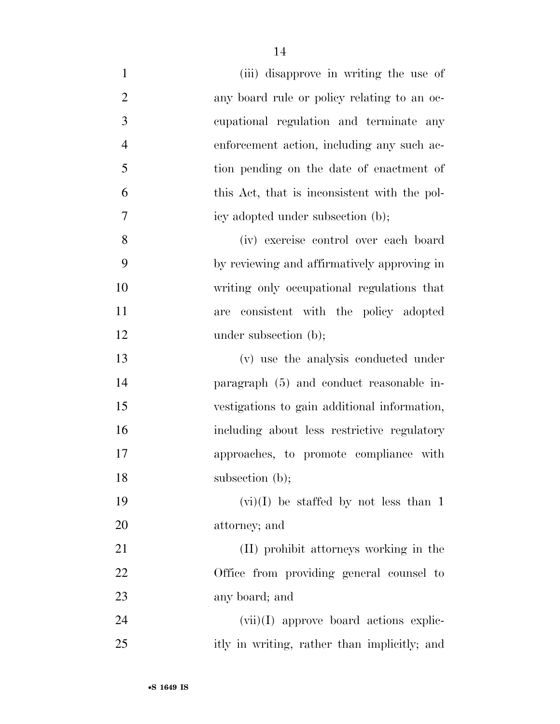| $\mathbf{1}$   | (iii) disapprove in writing the use of       |
|----------------|----------------------------------------------|
| $\overline{2}$ | any board rule or policy relating to an oc-  |
| $\mathfrak{Z}$ | cupational regulation and terminate any      |
| $\overline{4}$ | enforcement action, including any such ac-   |
| 5              | tion pending on the date of enactment of     |
| 6              | this Act, that is inconsistent with the pol- |
| 7              | icy adopted under subsection (b);            |
| 8              | (iv) exercise control over each board        |
| 9              | by reviewing and affirmatively approving in  |
| 10             | writing only occupational regulations that   |
| 11             | consistent with the policy adopted<br>are    |
| 12             | under subsection (b);                        |
| 13             | (v) use the analysis conducted under         |
| 14             | paragraph (5) and conduct reasonable in-     |
| 15             | vestigations to gain additional information, |
| 16             | including about less restrictive regulatory  |
| 17             | approaches, to promote compliance with       |
| 18             | subsection (b);                              |
| 19             | $(vi)(I)$ be staffed by not less than 1      |
| 20             | attorney; and                                |
| 21             | (II) prohibit attorneys working in the       |
| 22             | Office from providing general counsel to     |
| 23             | any board; and                               |
| 24             | $(vii)(I)$ approve board actions explic-     |
| 25             | itly in writing, rather than implicitly; and |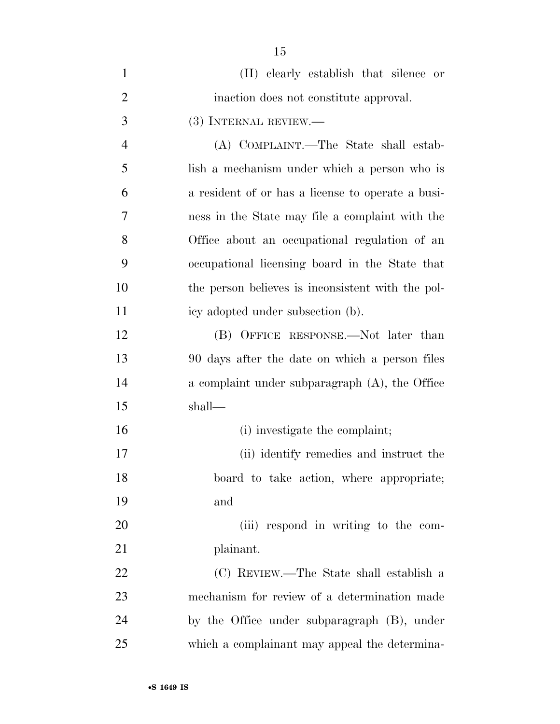| $\mathbf{1}$   | (II) elearly establish that silence or            |
|----------------|---------------------------------------------------|
| $\overline{2}$ | inaction does not constitute approval.            |
| 3              | (3) INTERNAL REVIEW.—                             |
| $\overline{4}$ | (A) COMPLAINT.—The State shall estab-             |
| 5              | lish a mechanism under which a person who is      |
| 6              | a resident of or has a license to operate a busi- |
| 7              | ness in the State may file a complaint with the   |
| 8              | Office about an occupational regulation of an     |
| 9              | occupational licensing board in the State that    |
| 10             | the person believes is inconsistent with the pol- |
| 11             | icy adopted under subsection (b).                 |
| 12             | (B) OFFICE RESPONSE.—Not later than               |
| 13             | 90 days after the date on which a person files    |
| 14             | a complaint under subparagraph (A), the Office    |
| 15             | shall—                                            |
| 16             | (i) investigate the complaint;                    |
| 17             | (ii) identify remedies and instruct the           |
| 18             | board to take action, where appropriate;          |
| 19             | and                                               |
| 20             | (iii) respond in writing to the com-              |
| 21             | plainant.                                         |
| 22             | (C) REVIEW.—The State shall establish a           |
| 23             | mechanism for review of a determination made      |
| 24             | by the Office under subparagraph (B), under       |
| 25             | which a complainant may appeal the determina-     |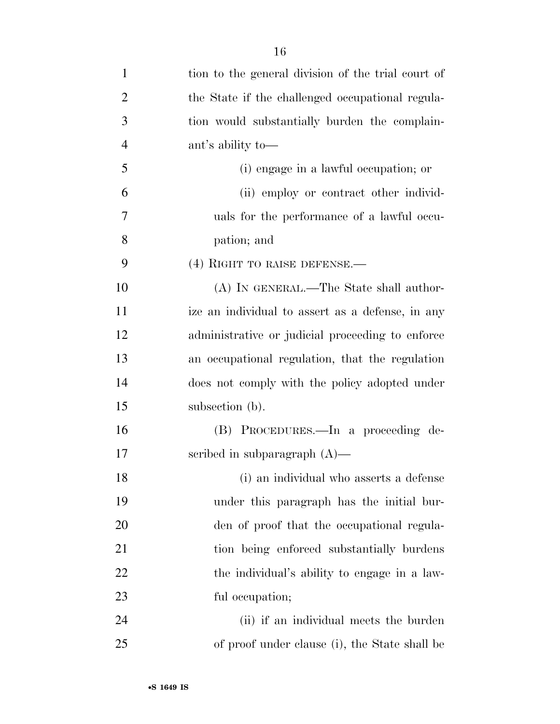| $\mathbf{1}$   | tion to the general division of the trial court of |
|----------------|----------------------------------------------------|
| $\overline{2}$ | the State if the challenged occupational regula-   |
| 3              | tion would substantially burden the complain-      |
| $\overline{4}$ | ant's ability to-                                  |
| 5              | (i) engage in a lawful occupation; or              |
| 6              | (ii) employ or contract other individ-             |
| 7              | uals for the performance of a lawful occu-         |
| 8              | pation; and                                        |
| 9              | $(4)$ RIGHT TO RAISE DEFENSE.—                     |
| 10             | (A) IN GENERAL.—The State shall author-            |
| 11             | ize an individual to assert as a defense, in any   |
| 12             | administrative or judicial proceeding to enforce   |
| 13             | an occupational regulation, that the regulation    |
| 14             | does not comply with the policy adopted under      |
| 15             | subsection (b).                                    |
| 16             | (B) PROCEDURES.—In a proceeding de-                |
| 17             | scribed in subparagraph $(A)$ —                    |
| 18             | (i) an individual who asserts a defense            |
| 19             | under this paragraph has the initial bur-          |
| 20             | den of proof that the occupational regula-         |
| 21             | tion being enforced substantially burdens          |
| 22             | the individual's ability to engage in a law-       |
| 23             | ful occupation;                                    |
| 24             | (ii) if an individual meets the burden             |
| 25             | of proof under clause (i), the State shall be      |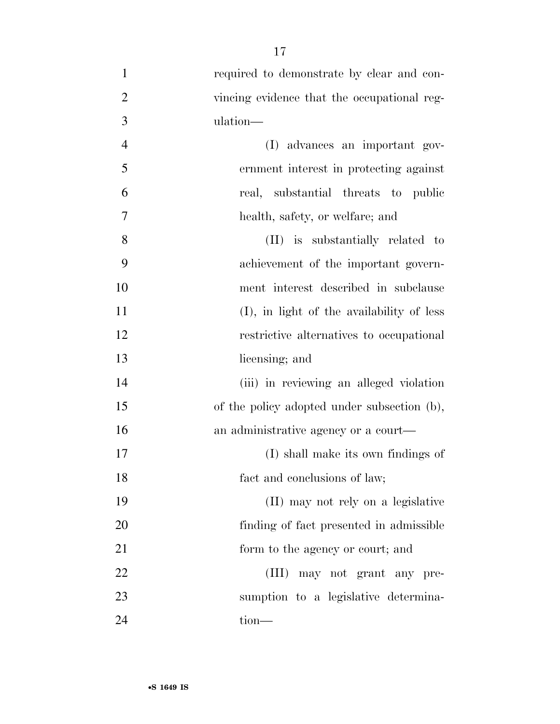| $\mathbf{1}$   | required to demonstrate by clear and con-   |
|----------------|---------------------------------------------|
| $\overline{2}$ | vincing evidence that the occupational reg- |
| 3              | ulation—                                    |
| $\overline{4}$ | (I) advances an important gov-              |
| 5              | ernment interest in protecting against      |
| 6              | real, substantial threats to public         |
| 7              | health, safety, or welfare; and             |
| 8              | (II) is substantially related to            |
| 9              | achievement of the important govern-        |
| 10             | ment interest described in subclause        |
| 11             | (I), in light of the availability of less   |
| 12             | restrictive alternatives to occupational    |
| 13             | licensing; and                              |
| 14             | (iii) in reviewing an alleged violation     |
| 15             | of the policy adopted under subsection (b), |
| 16             | an administrative agency or a court—        |
| 17             | (I) shall make its own findings of          |
| 18             | fact and conclusions of law;                |
| 19             | (II) may not rely on a legislative          |
| 20             | finding of fact presented in admissible     |
| 21             | form to the agency or court; and            |
| 22             | (III) may not grant any pre-                |
| 23             | sumption to a legislative determina-        |
| 24             | tion-                                       |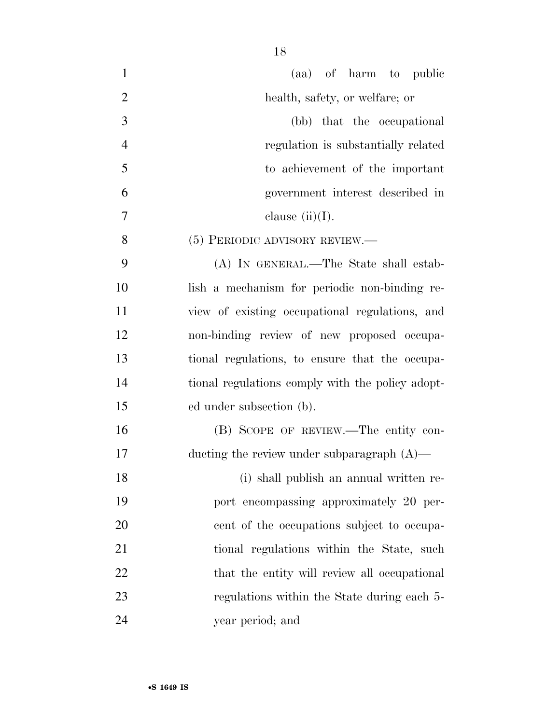| $\mathbf{1}$   | (aa) of harm to public                           |
|----------------|--------------------------------------------------|
| $\overline{2}$ | health, safety, or welfare; or                   |
| 3              | (bb) that the occupational                       |
| $\overline{4}$ | regulation is substantially related              |
| 5              | to achievement of the important                  |
| 6              | government interest described in                 |
| 7              | clause $(ii)(I)$ .                               |
| 8              | $(5)$ PERIODIC ADVISORY REVIEW.—                 |
| 9              | (A) IN GENERAL.—The State shall estab-           |
| 10             | lish a mechanism for periodic non-binding re-    |
| 11             | view of existing occupational regulations, and   |
| 12             | non-binding review of new proposed occupa-       |
| 13             | tional regulations, to ensure that the occupa-   |
| 14             | tional regulations comply with the policy adopt- |
| 15             | ed under subsection (b).                         |
| 16             | (B) SCOPE OF REVIEW.—The entity con-             |
| 17             | ducting the review under subparagraph $(A)$ —    |
| 18             | (i) shall publish an annual written re-          |
| 19             | port encompassing approximately 20 per-          |
| 20             | cent of the occupations subject to occupa-       |
| 21             | tional regulations within the State, such        |
| 22             | that the entity will review all occupational     |
| 23             | regulations within the State during each 5-      |
| 24             | year period; and                                 |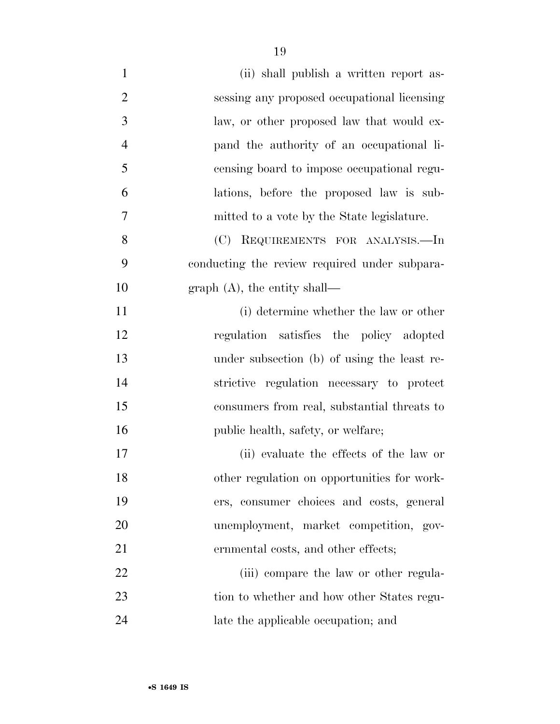| $\mathbf{1}$   | (ii) shall publish a written report as-       |
|----------------|-----------------------------------------------|
|                |                                               |
| $\overline{2}$ | sessing any proposed occupational licensing   |
| 3              | law, or other proposed law that would ex-     |
| $\overline{4}$ | pand the authority of an occupational li-     |
| 5              | censing board to impose occupational regu-    |
| 6              | lations, before the proposed law is sub-      |
| 7              | mitted to a vote by the State legislature.    |
| 8              | (C) REQUIREMENTS FOR ANALYSIS.—In             |
| 9              | conducting the review required under subpara- |
| 10             | graph $(A)$ , the entity shall—               |
| 11             | (i) determine whether the law or other        |
| 12             | regulation satisfies the policy adopted       |
| 13             | under subsection (b) of using the least re-   |
| 14             | strictive regulation necessary to protect     |
| 15             | consumers from real, substantial threats to   |
| 16             | public health, safety, or welfare;            |
| 17             | (ii) evaluate the effects of the law or       |
| 18             | other regulation on opportunities for work-   |
| 19             | ers, consumer choices and costs, general      |
| 20             | unemployment, market competition, gov-        |
| 21             | ernmental costs, and other effects;           |
| 22             | (iii) compare the law or other regula-        |
| 23             | tion to whether and how other States regu-    |
| 24             | late the applicable occupation; and           |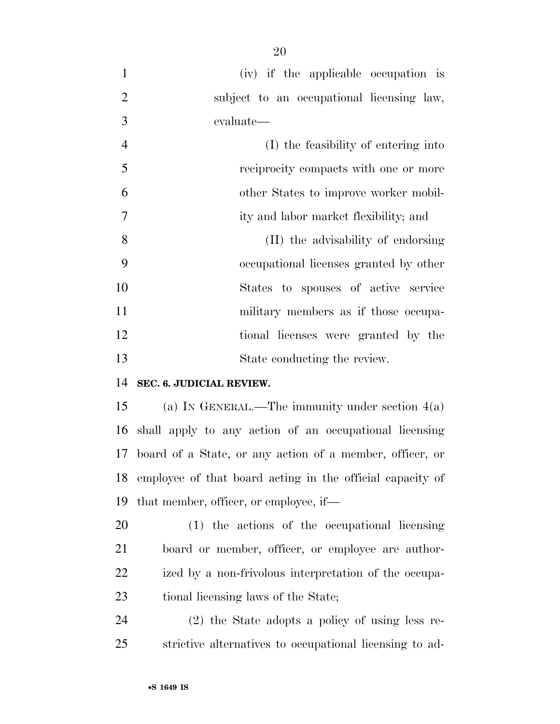- (iv) if the applicable occupation is subject to an occupational licensing law, evaluate—
- (I) the feasibility of entering into reciprocity compacts with one or more other States to improve worker mobil- ity and labor market flexibility; and (II) the advisability of endorsing occupational licenses granted by other States to spouses of active service 11 military members as if those occupa-tional licenses were granted by the

#### **SEC. 6. JUDICIAL REVIEW.**

 (a) IN GENERAL.—The immunity under section 4(a) shall apply to any action of an occupational licensing board of a State, or any action of a member, officer, or employee of that board acting in the official capacity of that member, officer, or employee, if—

State conducting the review.

 (1) the actions of the occupational licensing board or member, officer, or employee are author- ized by a non-frivolous interpretation of the occupa-23 tional licensing laws of the State;

 (2) the State adopts a policy of using less re-strictive alternatives to occupational licensing to ad-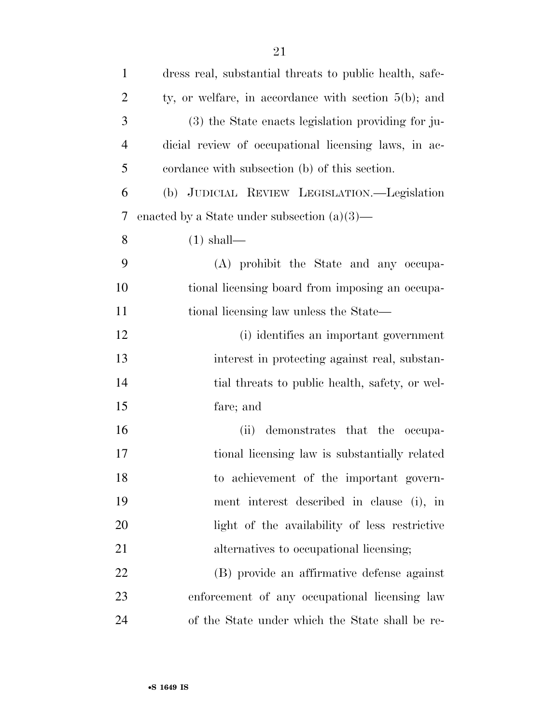| $\mathbf{1}$   | dress real, substantial threats to public health, safe- |
|----------------|---------------------------------------------------------|
| $\overline{c}$ | ty, or welfare, in accordance with section $5(b)$ ; and |
| 3              | (3) the State enacts legislation providing for ju-      |
| $\overline{4}$ | dicial review of occupational licensing laws, in ac-    |
| 5              | cordance with subsection (b) of this section.           |
| 6              | (b) JUDICIAL REVIEW LEGISLATION.—Legislation            |
| 7              | enacted by a State under subsection $(a)(3)$ —          |
| 8              | $(1)$ shall—                                            |
| 9              | (A) prohibit the State and any occupa-                  |
| 10             | tional licensing board from imposing an occupa-         |
| 11             | tional licensing law unless the State—                  |
| 12             | (i) identifies an important government                  |
| 13             | interest in protecting against real, substan-           |
| 14             | tial threats to public health, safety, or wel-          |
| 15             | fare; and                                               |
| 16             | demonstrates that the occupa-<br>(ii)                   |
| 17             | tional licensing law is substantially related           |
| 18             | to achievement of the important govern-                 |
| 19             | ment interest described in clause (i), in               |
| 20             | light of the availability of less restrictive           |
| 21             | alternatives to occupational licensing;                 |
| 22             | (B) provide an affirmative defense against              |
| 23             | enforcement of any occupational licensing law           |
| 24             | of the State under which the State shall be re-         |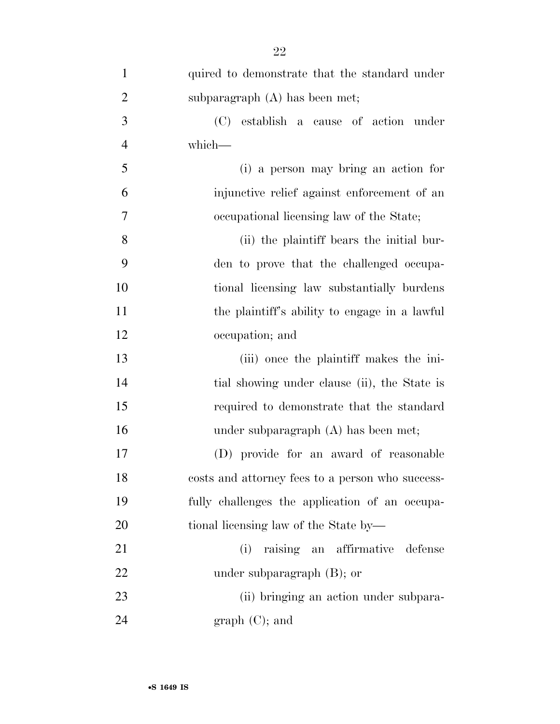| $\mathbf{1}$   | quired to demonstrate that the standard under    |
|----------------|--------------------------------------------------|
| $\overline{2}$ | subparagraph $(A)$ has been met;                 |
| $\mathfrak{Z}$ | (C)<br>establish a cause of action under         |
| $\overline{4}$ | which-                                           |
| 5              | (i) a person may bring an action for             |
| 6              | injunctive relief against enforcement of an      |
| 7              | occupational licensing law of the State;         |
| 8              | (ii) the plaintiff bears the initial bur-        |
| 9              | den to prove that the challenged occupa-         |
| 10             | tional licensing law substantially burdens       |
| 11             | the plaintiff's ability to engage in a lawful    |
| 12             | occupation; and                                  |
| 13             | (iii) once the plaintiff makes the ini-          |
| 14             | tial showing under clause (ii), the State is     |
| 15             | required to demonstrate that the standard        |
| 16             | under subparagraph $(A)$ has been met;           |
| 17             | (D) provide for an award of reasonable           |
| 18             | costs and attorney fees to a person who success- |
| 19             | fully challenges the application of an occupa-   |
| 20             | tional licensing law of the State by—            |
| 21             | raising an affirmative<br>(i)<br>defense         |
| 22             | under subparagraph $(B)$ ; or                    |
| 23             | (ii) bringing an action under subpara-           |
| 24             | graph (C); and                                   |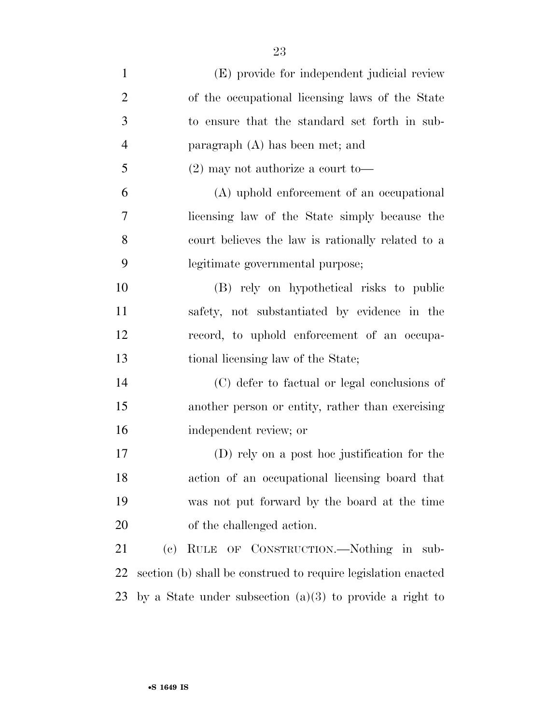| $\mathbf{1}$   | (E) provide for independent judicial review                   |
|----------------|---------------------------------------------------------------|
| $\overline{2}$ | of the occupational licensing laws of the State               |
| 3              | to ensure that the standard set forth in sub-                 |
| $\overline{4}$ | paragraph $(A)$ has been met; and                             |
| 5              | $(2)$ may not authorize a court to-                           |
| 6              | (A) uphold enforcement of an occupational                     |
| 7              | licensing law of the State simply because the                 |
| 8              | court believes the law is rationally related to a             |
| 9              | legitimate governmental purpose;                              |
| 10             | (B) rely on hypothetical risks to public                      |
| 11             | safety, not substantiated by evidence in the                  |
| 12             | record, to uphold enforcement of an occupa-                   |
| 13             | tional licensing law of the State;                            |
| 14             | (C) defer to factual or legal conclusions of                  |
| 15             | another person or entity, rather than exercising              |
| 16             | independent review; or                                        |
| 17             | (D) rely on a post hoc justification for the                  |
| 18             | action of an occupational licensing board that                |
| 19             | was not put forward by the board at the time                  |
| 20             | of the challenged action.                                     |
| 21             | RULE OF CONSTRUCTION.-Nothing in sub-<br>(e)                  |
| 22             | section (b) shall be construed to require legislation enacted |
| 23             | by a State under subsection $(a)(3)$ to provide a right to    |